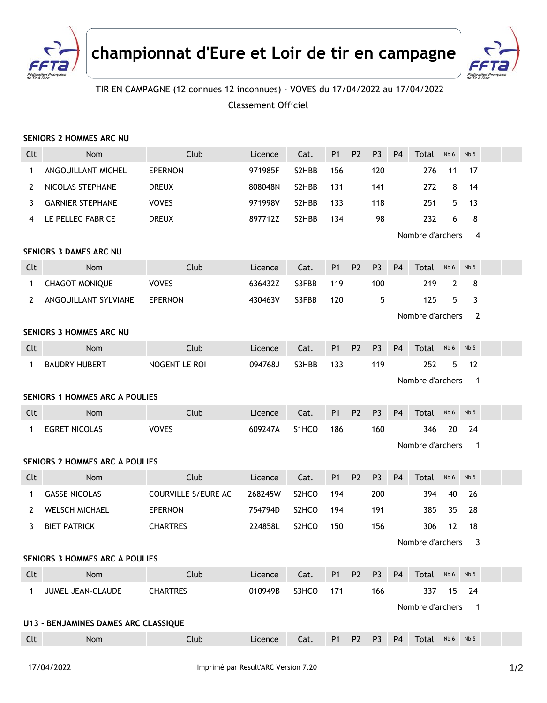



## TIR EN CAMPAGNE (12 connues 12 inconnues) - VOVES du 17/04/2022 au 17/04/2022 Classement Officiel

## **SENIORS 2 HOMMES ARC NU**

| Clt                            | Nom                                          | Club                       | Licence | Cat.               | P <sub>1</sub> | P <sub>2</sub> | P <sub>3</sub> | P <sub>4</sub> | Total            | Nb 6 | Nb <sub>5</sub> |  |
|--------------------------------|----------------------------------------------|----------------------------|---------|--------------------|----------------|----------------|----------------|----------------|------------------|------|-----------------|--|
| 1                              | ANGOUILLANT MICHEL                           | <b>EPERNON</b>             | 971985F | S2HBB              | 156            |                | 120            |                | 276              | 11   | 17              |  |
| 2                              | NICOLAS STEPHANE                             | <b>DREUX</b>               | 808048N | S2HBB              | 131            |                | 141            |                | 272              | 8    | 14              |  |
| 3                              | <b>GARNIER STEPHANE</b>                      | <b>VOVES</b>               | 971998V | S2HBB              | 133            |                | 118            |                | 251              | 5    | 13              |  |
| 4                              | LE PELLEC FABRICE                            | <b>DREUX</b>               | 897712Z | S2HBB              | 134            |                | 98             |                | 232              | 6    | 8               |  |
|                                |                                              | Nombre d'archers<br>4      |         |                    |                |                |                |                |                  |      |                 |  |
| <b>SENIORS 3 DAMES ARC NU</b>  |                                              |                            |         |                    |                |                |                |                |                  |      |                 |  |
| Clt                            | Nom                                          | Club                       | Licence | Cat.               | P <sub>1</sub> | P <sub>2</sub> | P <sub>3</sub> | P <sub>4</sub> | Total            | Nb 6 | Nb <sub>5</sub> |  |
| 1                              | <b>CHAGOT MONIQUE</b>                        | <b>VOVES</b>               | 636432Z | S3FBB              | 119            |                | 100            |                | 219              | 2    | 8               |  |
| 2                              | ANGOUILLANT SYLVIANE                         | <b>EPERNON</b>             | 430463V | S3FBB              | 120            |                | 5              |                | 125              | 5    | 3               |  |
|                                |                                              |                            |         |                    |                |                |                |                | Nombre d'archers |      | 2               |  |
|                                | SENIORS 3 HOMMES ARC NU                      |                            |         |                    |                |                |                |                |                  |      |                 |  |
| Clt                            | Nom                                          | Club                       | Licence | Cat.               | <b>P1</b>      | P <sub>2</sub> | P <sub>3</sub> | <b>P4</b>      | Total            | Nb 6 | Nb <sub>5</sub> |  |
| $\mathbf{1}$                   | <b>BAUDRY HUBERT</b>                         | NOGENT LE ROI              | 094768J | S3HBB              | 133            |                | 119            |                | 252              | 5    | 12              |  |
|                                |                                              |                            |         |                    |                |                |                |                | Nombre d'archers |      | $\mathbf 1$     |  |
| SENIORS 1 HOMMES ARC A POULIES |                                              |                            |         |                    |                |                |                |                |                  |      |                 |  |
| Clt                            | Nom                                          | Club                       | Licence | Cat.               | <b>P1</b>      | P <sub>2</sub> | P <sub>3</sub> | <b>P4</b>      | Total            | Nb 6 | Nb <sub>5</sub> |  |
| $\mathbf{1}$                   | <b>EGRET NICOLAS</b>                         | <b>VOVES</b>               | 609247A | S1HCO              | 186            |                | 160            |                | 346              | 20   | 24              |  |
|                                | Nombre d'archers<br>$\mathbf 1$              |                            |         |                    |                |                |                |                |                  |      |                 |  |
|                                | <b>SENIORS 2 HOMMES ARC A POULIES</b>        |                            |         |                    |                |                |                |                |                  |      |                 |  |
| Clt                            | Nom                                          | Club                       | Licence | Cat.               | P <sub>1</sub> | P <sub>2</sub> | P <sub>3</sub> | P <sub>4</sub> | Total            | Nb 6 | Nb <sub>5</sub> |  |
| 1                              | <b>GASSE NICOLAS</b>                         | <b>COURVILLE S/EURE AC</b> | 268245W | S <sub>2</sub> HCO | 194            |                | 200            |                | 394              | 40   | 26              |  |
| 2                              | <b>WELSCH MICHAEL</b>                        | <b>EPERNON</b>             | 754794D | S <sub>2</sub> HCO | 194            |                | 191            |                | 385              | 35   | 28              |  |
| 3                              | <b>BIET PATRICK</b>                          | <b>CHARTRES</b>            | 224858L | S <sub>2</sub> HCO | 150            |                | 156            |                | 306              | 12   | 18              |  |
|                                |                                              |                            |         |                    |                |                |                |                | Nombre d'archers |      | 3               |  |
| SENIORS 3 HOMMES ARC A POULIES |                                              |                            |         |                    |                |                |                |                |                  |      |                 |  |
| Clt                            | Nom                                          | Club                       | Licence | Cat.               | <b>P1</b>      | P <sub>2</sub> | P <sub>3</sub> | P <sub>4</sub> | Total Nb6        |      | Nb <sub>5</sub> |  |
| $\mathbf{1}$                   | JUMEL JEAN-CLAUDE                            | <b>CHARTRES</b>            | 010949B | S3HCO              | 171            |                | 166            |                | 337              | 15   | 24              |  |
|                                | Nombre d'archers<br>$\overline{\phantom{1}}$ |                            |         |                    |                |                |                |                |                  |      |                 |  |
|                                | U13 - BENJAMINES DAMES ARC CLASSIQUE         |                            |         |                    |                |                |                |                |                  |      |                 |  |
| Clt                            | Nom                                          | Club                       | Licence | Cat.               | P <sub>1</sub> | P <sub>2</sub> | P <sub>3</sub> | <b>P4</b>      | Total Nb6        |      | Nb <sub>5</sub> |  |
|                                |                                              |                            |         |                    |                |                |                |                |                  |      |                 |  |